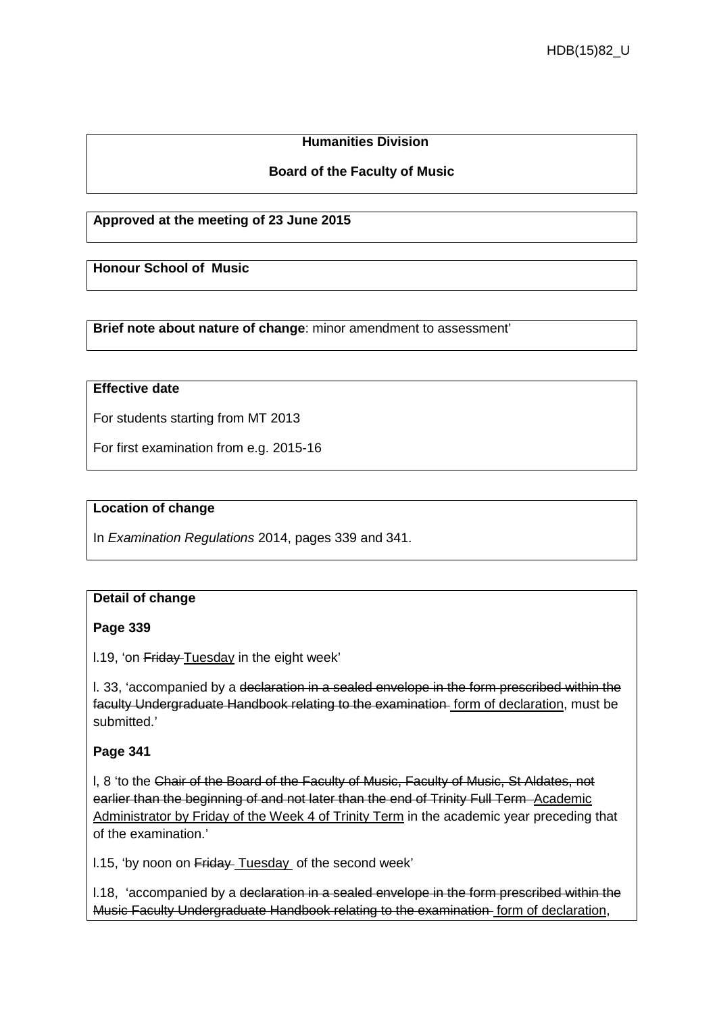### **Humanities Division**

### **Board of the Faculty of Music**

#### **Approved at the meeting of 23 June 2015**

**Honour School of Music**

**Brief note about nature of change**: minor amendment to assessment'

## **Effective date**

For students starting from MT 2013

For first examination from e.g. 2015-16

### **Location of change**

In *Examination Regulations* 2014, pages 339 and 341.

#### **Detail of change**

#### **Page 339**

l.19, 'on Friday Tuesday in the eight week'

l. 33, 'accompanied by a declaration in a sealed envelope in the form prescribed within the faculty Undergraduate Handbook relating to the examination form of declaration, must be submitted.'

#### **Page 341**

l, 8 'to the Chair of the Board of the Faculty of Music, Faculty of Music, St Aldates, not earlier than the beginning of and not later than the end of Trinity Full Term-Academic Administrator by Friday of the Week 4 of Trinity Term in the academic year preceding that of the examination.'

l.15, 'by noon on Friday Tuesday of the second week'

l.18, 'accompanied by a declaration in a sealed envelope in the form prescribed within the Music Faculty Undergraduate Handbook relating to the examination form of declaration,